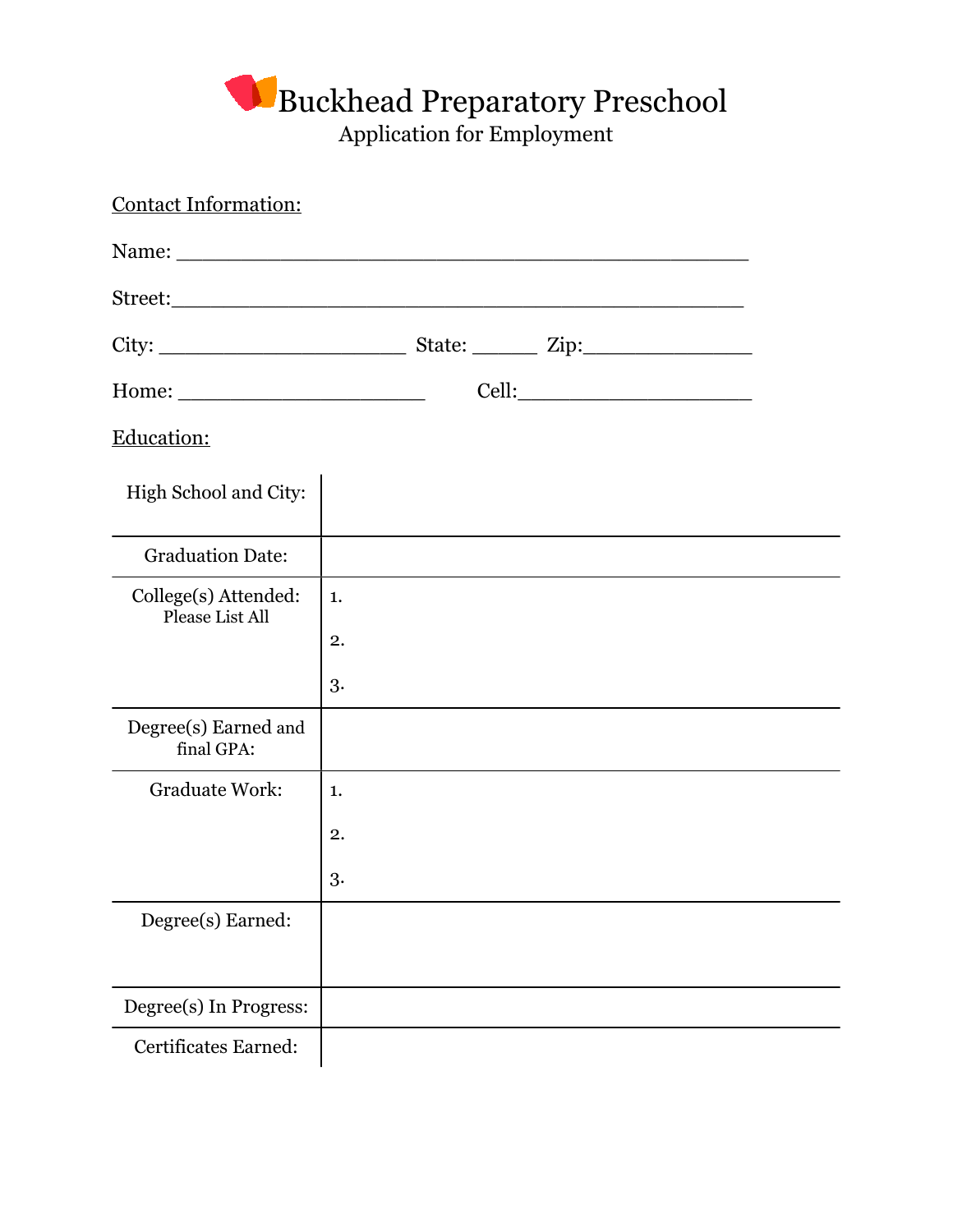## Buckhead Preparatory Preschool Application for Employment

| <b>Contact Information:</b>             |    |  |  |  |
|-----------------------------------------|----|--|--|--|
|                                         |    |  |  |  |
|                                         |    |  |  |  |
|                                         |    |  |  |  |
|                                         |    |  |  |  |
| Education:                              |    |  |  |  |
| High School and City:                   |    |  |  |  |
| <b>Graduation Date:</b>                 |    |  |  |  |
| College(s) Attended:<br>Please List All | 1. |  |  |  |
|                                         | 2. |  |  |  |
|                                         | 3. |  |  |  |
| Degree(s) Earned and<br>final GPA:      |    |  |  |  |
| <b>Graduate Work:</b>                   | 1. |  |  |  |
|                                         | 2. |  |  |  |
|                                         | 3. |  |  |  |
| Degree(s) Earned:                       |    |  |  |  |
|                                         |    |  |  |  |
| Degree(s) In Progress:                  |    |  |  |  |
| Certificates Earned:                    |    |  |  |  |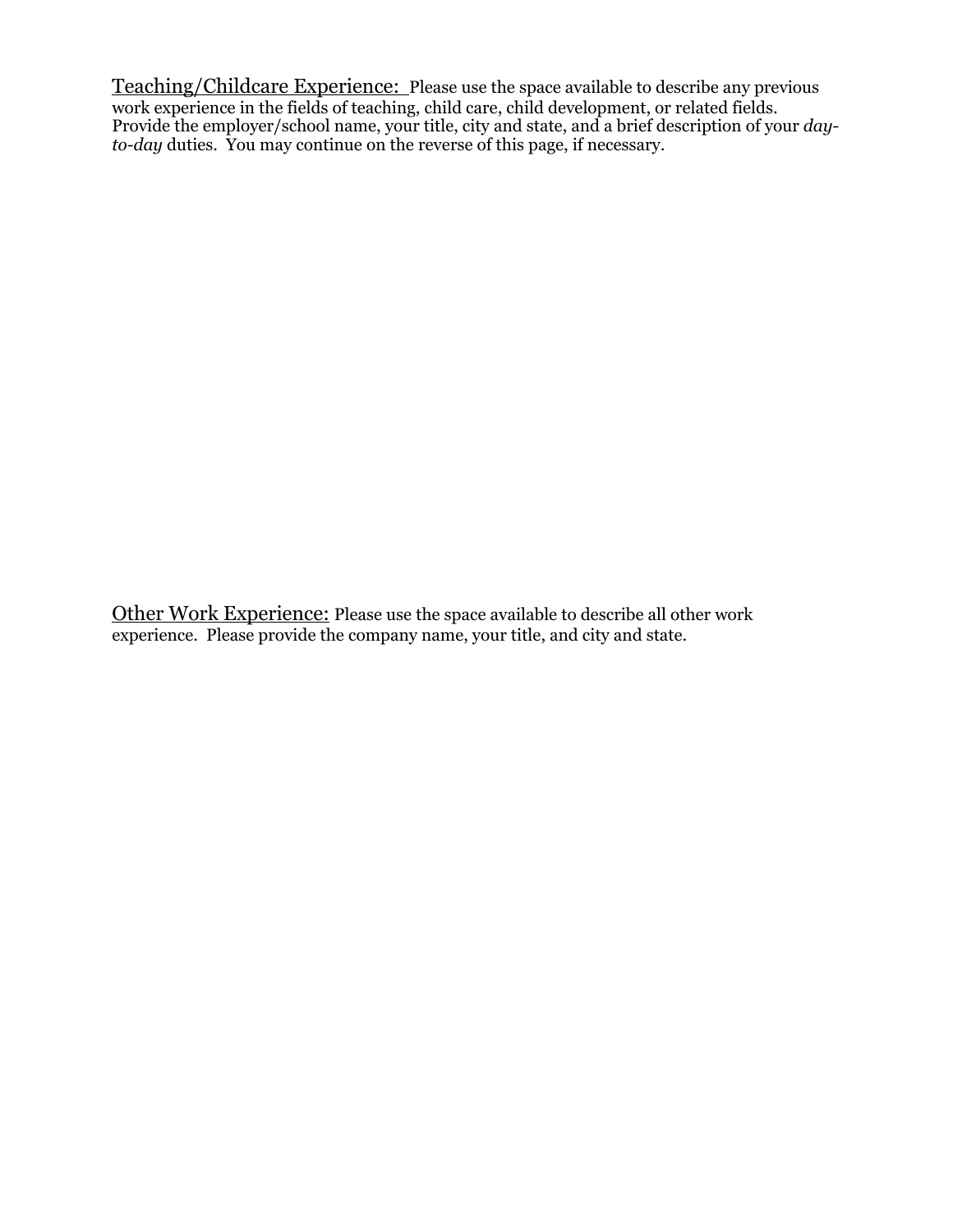Teaching/Childcare Experience: Please use the space available to describe any previous work experience in the fields of teaching, child care, child development, or related fields. Provide the employer/school name, your title, city and state, and a brief description of your *dayto-day* duties. You may continue on the reverse of this page, if necessary.

Other Work Experience: Please use the space available to describe all other work experience. Please provide the company name, your title, and city and state.